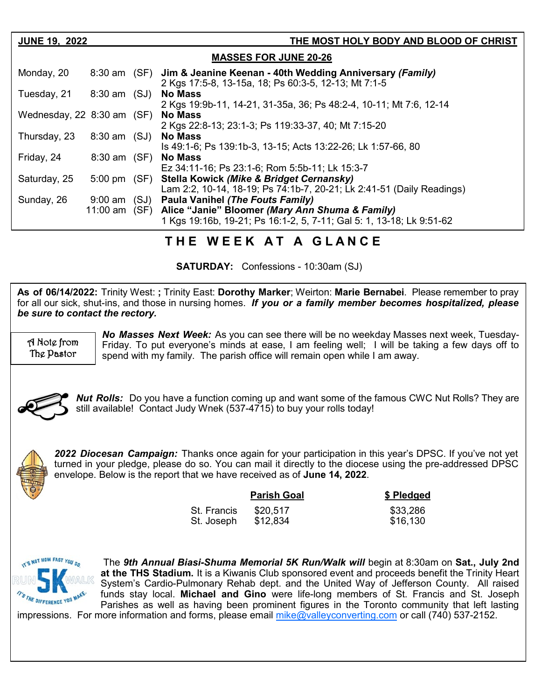| <b>JUNE 19, 2022</b>                  |                            |      | THE MOST HOLY BODY AND BLOOD OF CHRIST                                                                                                                             |  |  |
|---------------------------------------|----------------------------|------|--------------------------------------------------------------------------------------------------------------------------------------------------------------------|--|--|
| <b>MASSES FOR JUNE 20-26</b>          |                            |      |                                                                                                                                                                    |  |  |
| Monday, 20                            |                            |      | 8:30 am (SF) Jim & Jeanine Keenan - 40th Wedding Anniversary (Family)<br>2 Kgs 17:5-8, 13-15a, 18; Ps 60:3-5, 12-13; Mt 7:1-5                                      |  |  |
| Tuesday, 21                           | 8:30 am (SJ)               |      | <b>No Mass</b><br>2 Kgs 19:9b-11, 14-21, 31-35a, 36; Ps 48:2-4, 10-11; Mt 7:6, 12-14                                                                               |  |  |
| Wednesday, $22\,8:30\,\text{am}$ (SF) |                            |      | <b>No Mass</b><br>2 Kgs 22:8-13; 23:1-3; Ps 119:33-37, 40; Mt 7:15-20                                                                                              |  |  |
| Thursday, 23                          | 8:30 am (SJ)               |      | <b>No Mass</b><br>Is 49:1-6; Ps 139:1b-3, 13-15; Acts 13:22-26; Lk 1:57-66, 80                                                                                     |  |  |
| Friday, 24                            | $8:30$ am $(SF)$           |      | <b>No Mass</b><br>Ez 34:11-16; Ps 23:1-6; Rom 5:5b-11; Lk 15:3-7                                                                                                   |  |  |
| Saturday, 25                          | $5:00 \text{ pm}$          | (SF) | <b>Stella Kowick (Mike &amp; Bridget Cernansky)</b><br>Lam 2:2, 10-14, 18-19; Ps 74:1b-7, 20-21; Lk 2:41-51 (Daily Readings)                                       |  |  |
| Sunday, 26                            | $9:00$ am<br>11:00 am (SF) | (SJ) | <b>Paula Vanihel (The Fouts Family)</b><br>Alice "Janie" Bloomer (Mary Ann Shuma & Family)<br>1 Kgs 19:16b, 19-21; Ps 16:1-2, 5, 7-11; Gal 5: 1, 13-18; Lk 9:51-62 |  |  |

## **T H E W E E K A T A G L A N C E**

**SATURDAY:** Confessions - 10:30am (SJ)

**As of 06/14/2022:** Trinity West: **;** Trinity East: **Dorothy Marker**; Weirton: **Marie Bernabei**. Please remember to pray for all our sick, shut-ins, and those in nursing homes. *If you or a family member becomes hospitalized, please be sure to contact the rectory.*

A Note from The Pastor

*No Masses Next Week:* As you can see there will be no weekday Masses next week, Tuesday-Friday. To put everyone's minds at ease, I am feeling well; I will be taking a few days off to spend with my family. The parish office will remain open while I am away.



*Nut Rolls:* Do you have a function coming up and want some of the famous CWC Nut Rolls? They are still available! Contact Judy Wnek (537-4715) to buy your rolls today!



*2022 Diocesan Campaign:* Thanks once again for your participation in this year's DPSC. If you've not yet turned in your pledge, please do so. You can mail it directly to the diocese using the pre-addressed DPSC envelope. Below is the report that we have received as of **June 14, 2022**.

|             | \$ Pledged |          |
|-------------|------------|----------|
| St. Francis | \$20.517   | \$33,286 |
| St. Joseph  | \$12,834   | \$16,130 |



The *9th Annual Biasi-Shuma Memorial 5K Run/Walk will* begin at 8:30am on **Sat., July 2nd at the THS Stadium.** It is a Kiwanis Club sponsored event and proceeds benefit the Trinity Heart System's Cardio-Pulmonary Rehab dept. and the United Way of Jefferson County. All raised funds stay local. **Michael and Gino** were life-long members of St. Francis and St. Joseph Parishes as well as having been prominent figures in the Toronto community that left lasting

impressions. For more information and forms, please email  $m$ ike@valleyconverting.com or call (740) 537-2152.